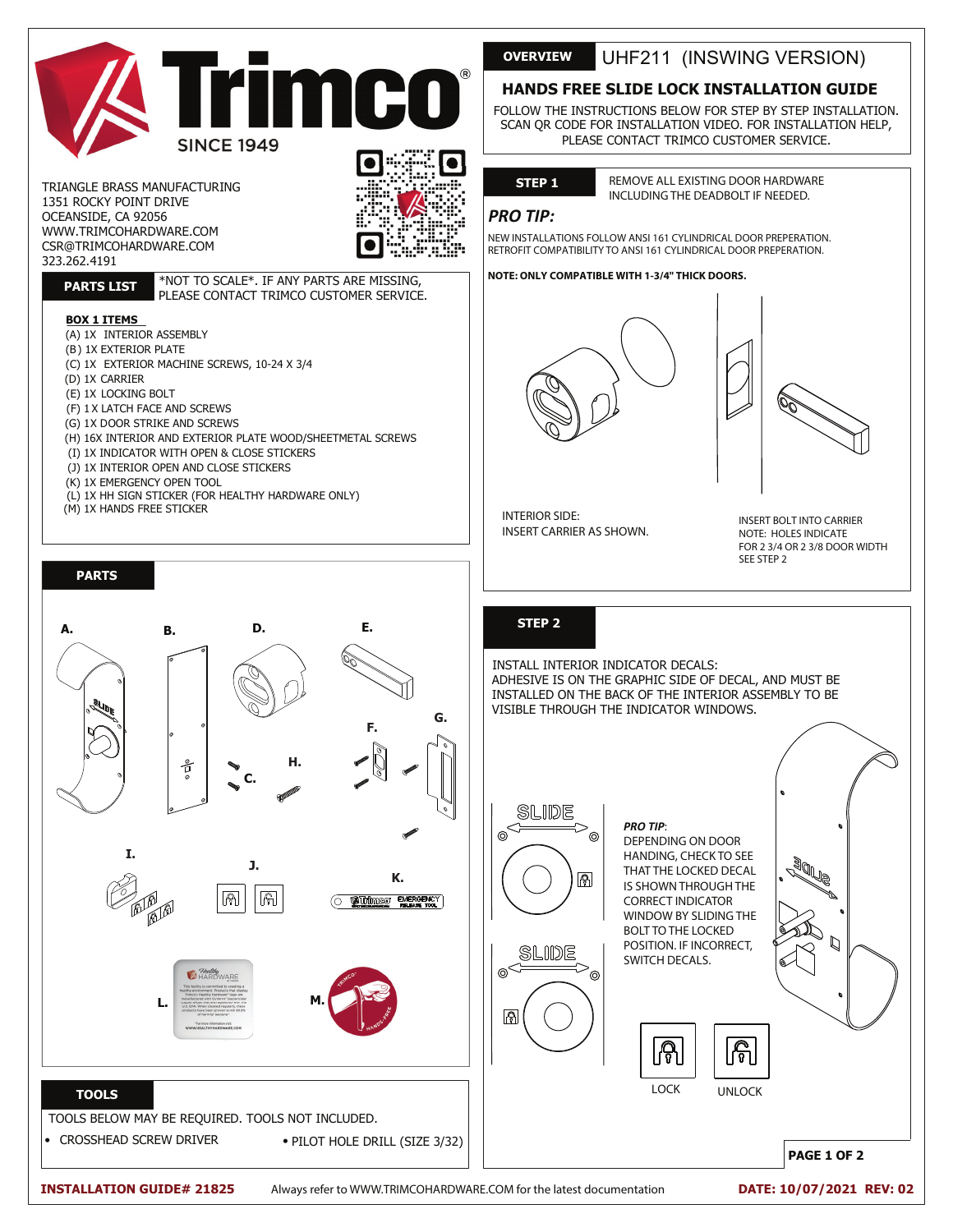

TRIANGLE BRASS MANUFACTURING 1351 ROCKY POINT DRIVE OCEANSIDE, CA 92056 WWW.TRIMCOHARDWARE.COM CSR@TRIMCOHARDWARE.COM 323.262.4191



# **PARTS LIST**

\*NOT TO SCALE\*. IF ANY PARTS ARE MISSING, PLEASE CONTACT TRIMCO CUSTOMER SERVICE.

#### **BOX 1 ITEMS**

(A) 1X INTERIOR ASSEMBLY (B) 1X EXTERIOR PLATE (C) 1X EXTERIOR MACHINE SCREWS, 10-24 X 3/4 (D) 1X CARRIER (E) 1X LOCKING BOLT (F) 1 X LATCH FACE AND SCREWS (G) 1X DOOR STRIKE AND SCREWS (H) 16X INTERIOR AND EXTERIOR PLATE WOOD/SHEETMETAL SCREWS (I) 1X INDICATOR WITH OPEN & CLOSE STICKERS (J) 1X INTERIOR OPEN AND CLOSE STICKERS (K) 1X EMERGENCY OPEN TOOL (L) 1X HH SIGN STICKER (FOR HEALTHY HARDWARE ONLY)

**A. B. D. E.**

(M) 1X HANDS FREE STICKER

**PARTS**

# **OVERVIEW** UHF211 (INSWING VERSION)

## **HANDS FREE SLIDE LOCK INSTALLATION GUIDE**

FOLLOW THE INSTRUCTIONS BELOW FOR STEP BY STEP INSTALLATION. SCAN QR CODE FOR INSTALLATION VIDEO. FOR INSTALLATION HELP, PLEASE CONTACT TRIMCO CUSTOMER SERVICE.

## **STEP 1**

REMOVE ALL EXISTING DOOR HARDWARE INCLUDING THE DEADBOLT IF NEEDED.

### *PRO TIP:*

NEW INSTALLATIONS FOLLOW ANSI 161 CYLINDRICAL DOOR PREPERATION. RETROFIT COMPATIBILITY TO ANSI 161 CYLINDRICAL DOOR PREPERATION.

#### **NOTE: ONLY COMPATIBLE WITH 1-3/4" THICK DOORS.**





INTERIOR SIDE: INSERT CARRIER AS SHOWN.

INSERT BOLT INTO CARRIER NOTE: HOLES INDICATE FOR 2 3/4 OR 2 3/8 DOOR WIDTH SEE STEP 2

### **STEP**

INSTALL INTERIOR INDICATOR DECALS: ADHESIVE IS ON THE GRAPHIC SIDE OF DECAL, AND MUST BE INSTALLED ON THE BACK OF THE INTERIOR ASSEMBLY TO BE VISIBLE THROUGH THE INDICATOR WINDOWS.

SLIDE ക  $\circledcirc$ ெ SLIDE



*PRO TIP*: DEPENDING ON DOOR HANDING, CHECK TO SEE THAT THE LOCKED DECAL IS SHOWN THROUGH THE CORRECT INDICATOR WINDOW BY SLIDING THE BOLT TO THE LOCKED POSITION. IF INCORRECT, SWITCH DECALS.



**PAGE 1 OF 2**

**G. F. H.** å **C. I. J. K.**  $\sqrt{2}$  $\boxed{\widehat{\mathbb{G}}}$ O **B**Urlimon EMERGENCY *Alexalting*<br>**A**HARDWARE **Manufactured with CuVerro" bactericide<br>
L. C. EPA, When cleaned regularly, these<br>
U.S. EPA, When cleaned regularly, these TOOLS** TOOLS BELOW MAY BE REQUIRED. TOOLS NOT INCLUDED. • PILOT HOLE DRILL (SIZE 3/32)

• CROSSHEAD SCREW DRIVER •

**INSTALLATION GUIDE# 21825**

Always refer to WWW.TRIMCOHARDWARE.COM for the latest documentation

**DATE: 10/07/2021 REV: 02**